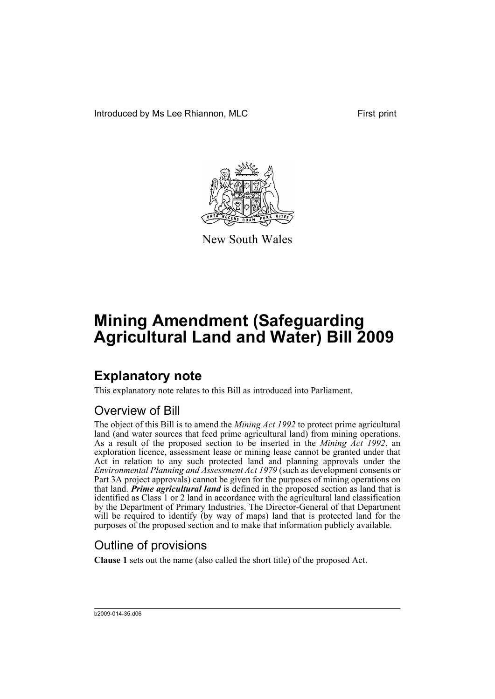Introduced by Ms Lee Rhiannon, MLC First print



New South Wales

# **Mining Amendment (Safeguarding Agricultural Land and Water) Bill 2009**

## **Explanatory note**

This explanatory note relates to this Bill as introduced into Parliament.

### Overview of Bill

The object of this Bill is to amend the *Mining Act 1992* to protect prime agricultural land (and water sources that feed prime agricultural land) from mining operations. As a result of the proposed section to be inserted in the *Mining Act 1992*, an exploration licence, assessment lease or mining lease cannot be granted under that Act in relation to any such protected land and planning approvals under the *Environmental Planning and Assessment Act 1979* (such as development consents or Part 3A project approvals) cannot be given for the purposes of mining operations on that land. *Prime agricultural land* is defined in the proposed section as land that is identified as Class 1 or 2 land in accordance with the agricultural land classification by the Department of Primary Industries. The Director-General of that Department will be required to identify (by way of maps) land that is protected land for the purposes of the proposed section and to make that information publicly available.

### Outline of provisions

**Clause 1** sets out the name (also called the short title) of the proposed Act.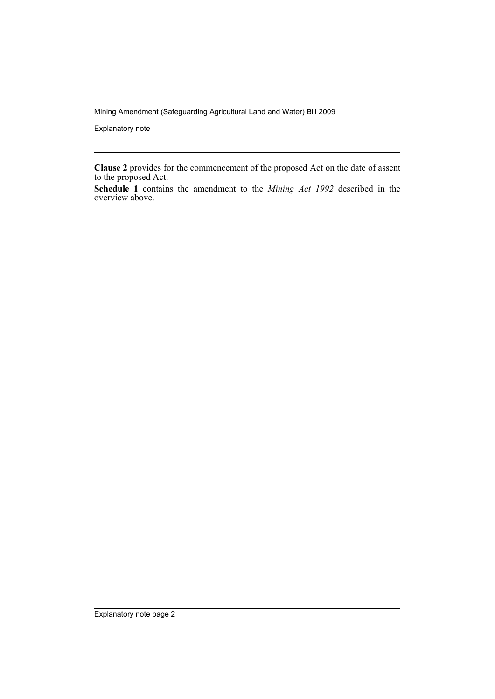Mining Amendment (Safeguarding Agricultural Land and Water) Bill 2009

Explanatory note

**Clause 2** provides for the commencement of the proposed Act on the date of assent to the proposed Act.

**Schedule 1** contains the amendment to the *Mining Act 1992* described in the overview above.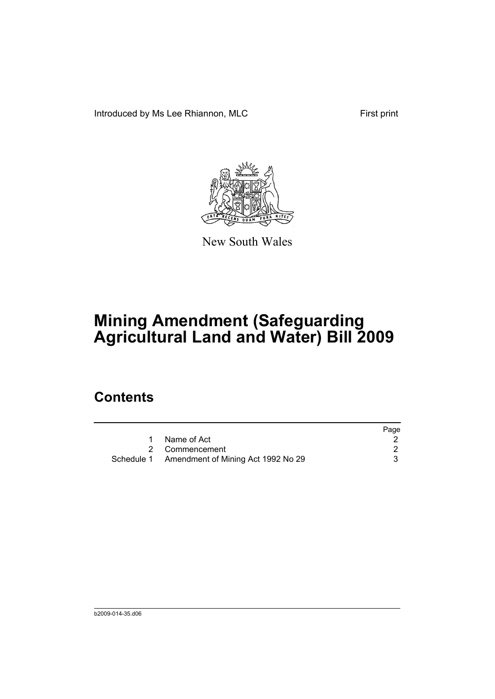Introduced by Ms Lee Rhiannon, MLC First print



New South Wales

# **Mining Amendment (Safeguarding Agricultural Land and Water) Bill 2009**

### **Contents**

|                                               | Page |
|-----------------------------------------------|------|
| Name of Act                                   |      |
| 2 Commencement                                |      |
| Schedule 1 Amendment of Mining Act 1992 No 29 |      |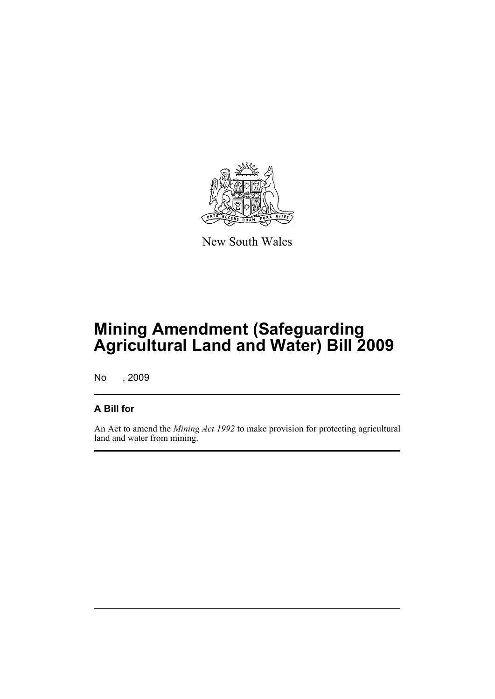

New South Wales

## **Mining Amendment (Safeguarding Agricultural Land and Water) Bill 2009**

No , 2009

#### **A Bill for**

An Act to amend the *Mining Act 1992* to make provision for protecting agricultural land and water from mining.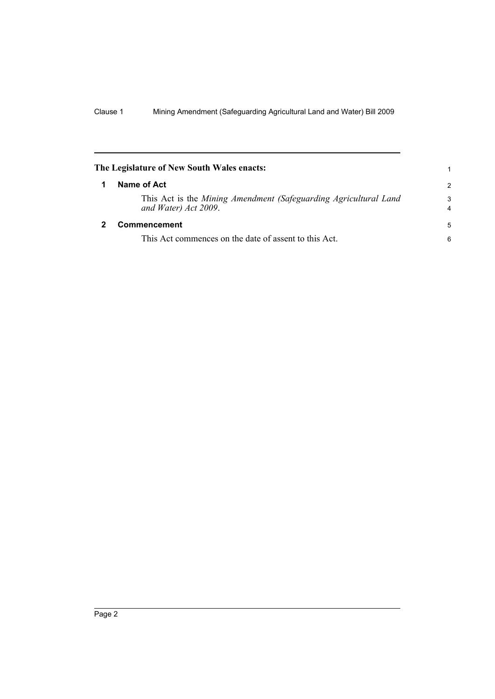<span id="page-5-1"></span><span id="page-5-0"></span>

| The Legislature of New South Wales enacts:                                               |               |
|------------------------------------------------------------------------------------------|---------------|
| Name of Act                                                                              | $\mathcal{P}$ |
| This Act is the Mining Amendment (Safeguarding Agricultural Land<br>and Water) Act 2009. | 3<br>4        |
| Commencement                                                                             | 5             |
| This Act commences on the date of assent to this Act.                                    | 6             |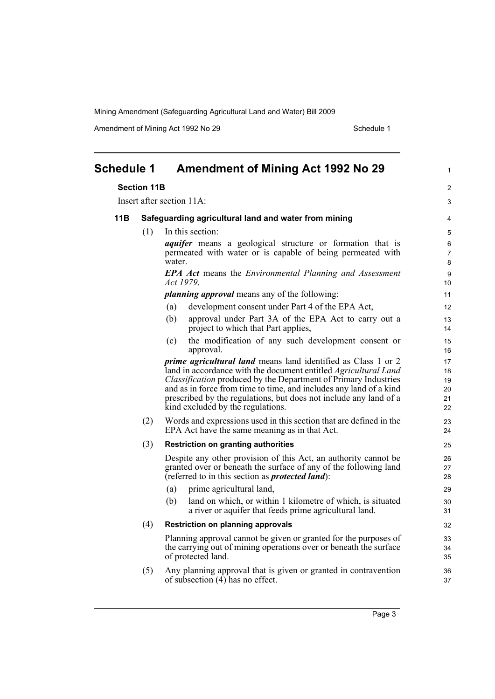Mining Amendment (Safeguarding Agricultural Land and Water) Bill 2009

Amendment of Mining Act 1992 No 29 Schedule 1

<span id="page-6-0"></span>

| <b>Schedule 1</b> |                                                            | <b>Amendment of Mining Act 1992 No 29</b>                                                                                                        | $\mathbf{1}$   |
|-------------------|------------------------------------------------------------|--------------------------------------------------------------------------------------------------------------------------------------------------|----------------|
|                   | <b>Section 11B</b>                                         |                                                                                                                                                  | $\overline{2}$ |
|                   |                                                            | Insert after section 11A:                                                                                                                        | 3              |
| 11B               | Safeguarding agricultural land and water from mining       |                                                                                                                                                  | 4              |
|                   | (1)                                                        | In this section:                                                                                                                                 | 5              |
|                   |                                                            | <i>aquifer</i> means a geological structure or formation that is                                                                                 | 6              |
|                   | permeated with water or is capable of being permeated with |                                                                                                                                                  | $\overline{7}$ |
|                   |                                                            | water.                                                                                                                                           | 8              |
|                   |                                                            | <b>EPA Act</b> means the <i>Environmental Planning and Assessment</i><br>Act 1979.                                                               | 9<br>10        |
|                   |                                                            | <i>planning approval</i> means any of the following:                                                                                             | 11             |
|                   |                                                            | development consent under Part 4 of the EPA Act,<br>(a)                                                                                          | 12             |
|                   |                                                            | (b)<br>approval under Part 3A of the EPA Act to carry out a                                                                                      | 13             |
|                   |                                                            | project to which that Part applies,                                                                                                              | 14             |
|                   |                                                            | the modification of any such development consent or<br>(c)                                                                                       | 15             |
|                   |                                                            | approval.                                                                                                                                        | 16             |
|                   |                                                            | <i>prime agricultural land</i> means land identified as Class 1 or 2                                                                             | 17             |
|                   |                                                            | land in accordance with the document entitled <i>Agricultural Land</i><br><i>Classification</i> produced by the Department of Primary Industries | 18             |
|                   |                                                            | and as in force from time to time, and includes any land of a kind                                                                               | 19<br>20       |
|                   |                                                            | prescribed by the regulations, but does not include any land of a                                                                                | 21             |
|                   |                                                            | kind excluded by the regulations.                                                                                                                | 22             |
|                   | (2)                                                        | Words and expressions used in this section that are defined in the                                                                               | 23             |
|                   |                                                            | EPA Act have the same meaning as in that Act.                                                                                                    | 24             |
|                   | (3)                                                        | <b>Restriction on granting authorities</b>                                                                                                       | 25             |
|                   |                                                            | Despite any other provision of this Act, an authority cannot be                                                                                  | 26             |
|                   |                                                            | granted over or beneath the surface of any of the following land                                                                                 | 27             |
|                   |                                                            | (referred to in this section as <i>protected land</i> ):                                                                                         | 28             |
|                   |                                                            | prime agricultural land,<br>(a)                                                                                                                  | 29             |
|                   |                                                            | land on which, or within 1 kilometre of which, is situated<br>(b)<br>a river or aquifer that feeds prime agricultural land.                      | 30<br>31       |
|                   | (4)                                                        | <b>Restriction on planning approvals</b>                                                                                                         | 32             |
|                   |                                                            | Planning approval cannot be given or granted for the purposes of                                                                                 | 33             |
|                   |                                                            | the carrying out of mining operations over or beneath the surface                                                                                | 34             |
|                   |                                                            | of protected land.                                                                                                                               | 35             |
|                   | (5)                                                        | Any planning approval that is given or granted in contravention<br>of subsection $(4)$ has no effect.                                            | 36<br>37       |